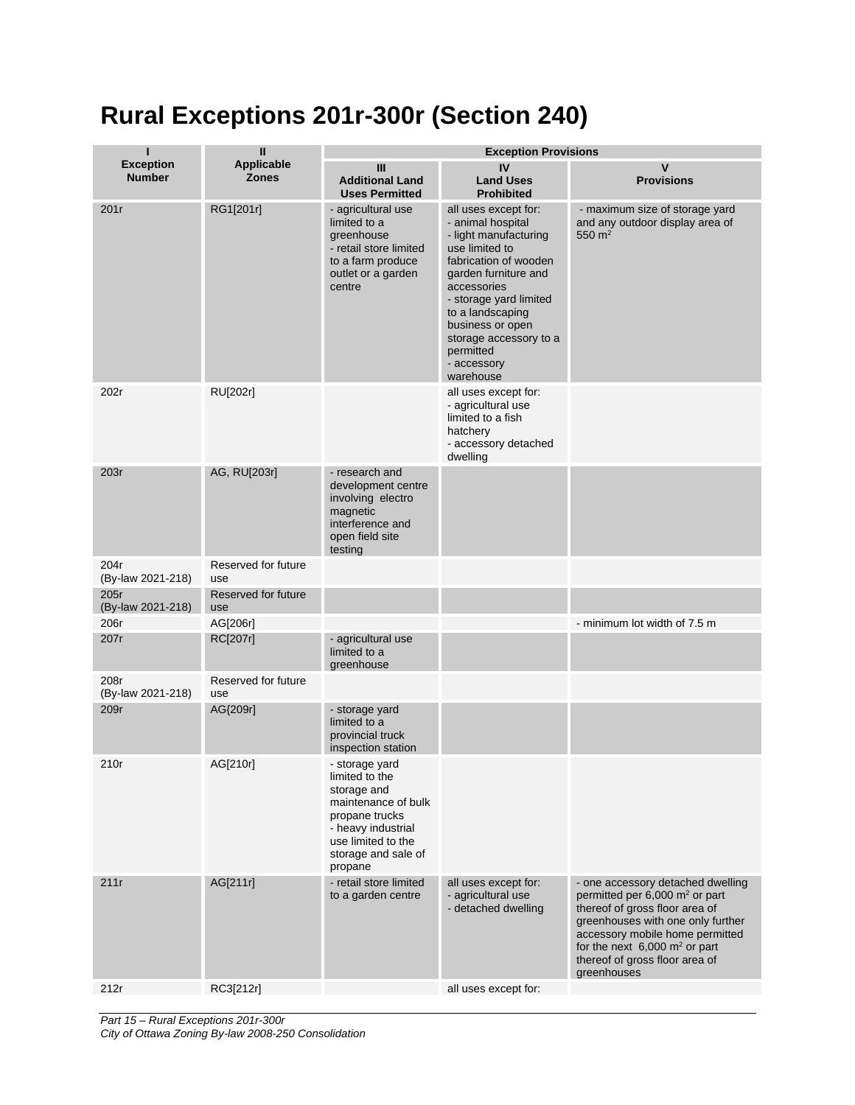## **Rural Exceptions 201r-300r (Section 240)**

| п                                 | Ш                                 | <b>Exception Provisions</b>                                                                                                                                            |                                                                                                                                                                                                                                                                                           |                                                                                                                                                                                                                                                                                        |  |
|-----------------------------------|-----------------------------------|------------------------------------------------------------------------------------------------------------------------------------------------------------------------|-------------------------------------------------------------------------------------------------------------------------------------------------------------------------------------------------------------------------------------------------------------------------------------------|----------------------------------------------------------------------------------------------------------------------------------------------------------------------------------------------------------------------------------------------------------------------------------------|--|
| <b>Exception</b><br><b>Number</b> | <b>Applicable</b><br><b>Zones</b> | Ш<br><b>Additional Land</b><br><b>Uses Permitted</b>                                                                                                                   | IV<br><b>Land Uses</b><br><b>Prohibited</b>                                                                                                                                                                                                                                               | $\mathsf{V}$<br><b>Provisions</b>                                                                                                                                                                                                                                                      |  |
| 201r                              | RG1[201r]                         | - agricultural use<br>limited to a<br>greenhouse<br>- retail store limited<br>to a farm produce<br>outlet or a garden<br>centre                                        | all uses except for:<br>- animal hospital<br>- light manufacturing<br>use limited to<br>fabrication of wooden<br>garden furniture and<br>accessories<br>- storage yard limited<br>to a landscaping<br>business or open<br>storage accessory to a<br>permitted<br>- accessory<br>warehouse | - maximum size of storage yard<br>and any outdoor display area of<br>550 $m2$                                                                                                                                                                                                          |  |
| 202r                              | RU[202r]                          |                                                                                                                                                                        | all uses except for:<br>- agricultural use<br>limited to a fish<br>hatchery<br>- accessory detached<br>dwelling                                                                                                                                                                           |                                                                                                                                                                                                                                                                                        |  |
| 203r                              | AG, RU[203r]                      | - research and<br>development centre<br>involving electro<br>magnetic<br>interference and<br>open field site<br>testing                                                |                                                                                                                                                                                                                                                                                           |                                                                                                                                                                                                                                                                                        |  |
| 204r<br>(By-law 2021-218)         | Reserved for future<br>use        |                                                                                                                                                                        |                                                                                                                                                                                                                                                                                           |                                                                                                                                                                                                                                                                                        |  |
| 205r<br>(By-law 2021-218)         | Reserved for future<br>use        |                                                                                                                                                                        |                                                                                                                                                                                                                                                                                           |                                                                                                                                                                                                                                                                                        |  |
| 206r                              | AG[206r]                          |                                                                                                                                                                        |                                                                                                                                                                                                                                                                                           | - minimum lot width of 7.5 m                                                                                                                                                                                                                                                           |  |
| 207r                              | RC[207r]                          | - agricultural use<br>limited to a<br>greenhouse                                                                                                                       |                                                                                                                                                                                                                                                                                           |                                                                                                                                                                                                                                                                                        |  |
| 208r<br>(By-law 2021-218)         | Reserved for future<br>use        |                                                                                                                                                                        |                                                                                                                                                                                                                                                                                           |                                                                                                                                                                                                                                                                                        |  |
| 209r                              | AG{209r]                          | - storage yard<br>limited to a<br>provincial truck<br>inspection station                                                                                               |                                                                                                                                                                                                                                                                                           |                                                                                                                                                                                                                                                                                        |  |
| 210r                              | AG[210r]                          | - storage yard<br>limited to the<br>storage and<br>maintenance of bulk<br>propane trucks<br>- heavy industrial<br>use limited to the<br>storage and sale of<br>propane |                                                                                                                                                                                                                                                                                           |                                                                                                                                                                                                                                                                                        |  |
| 211r                              | AG[211r]                          | - retail store limited<br>to a garden centre                                                                                                                           | all uses except for:<br>- agricultural use<br>- detached dwelling                                                                                                                                                                                                                         | - one accessory detached dwelling<br>permitted per 6,000 m <sup>2</sup> or part<br>thereof of gross floor area of<br>greenhouses with one only further<br>accessory mobile home permitted<br>for the next $6,000 \text{ m}^2$ or part<br>thereof of gross floor area of<br>greenhouses |  |
| 212r                              | RC3[212r]                         |                                                                                                                                                                        | all uses except for:                                                                                                                                                                                                                                                                      |                                                                                                                                                                                                                                                                                        |  |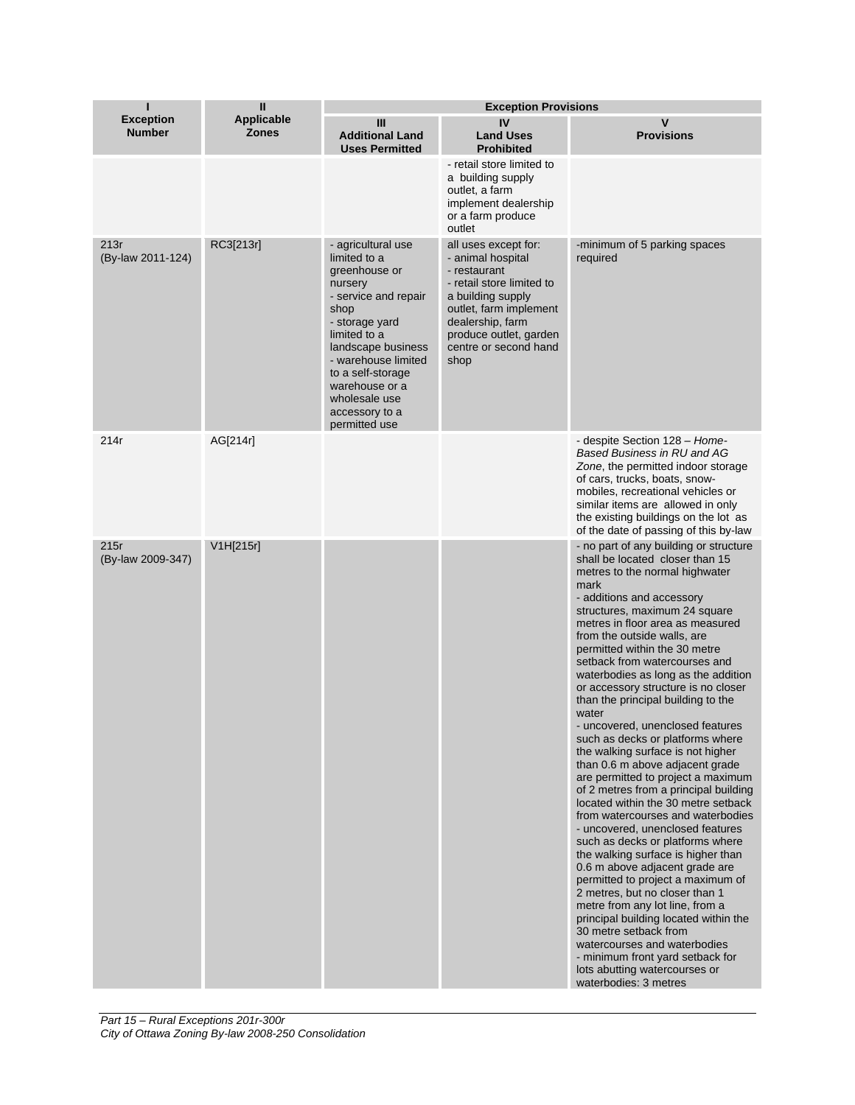| ı                                 | Ш                                 |                                                                                                                                                                                                                                                                          | <b>Exception Provisions</b>                                                                                                                                                                                          |                                                                                                                                                                                                                                                                                                                                                                                                                                                                                                                                                                                                                                                                                                                                                                                                                                                                                                                                                                                                                                                                                                                                                                                                                          |  |
|-----------------------------------|-----------------------------------|--------------------------------------------------------------------------------------------------------------------------------------------------------------------------------------------------------------------------------------------------------------------------|----------------------------------------------------------------------------------------------------------------------------------------------------------------------------------------------------------------------|--------------------------------------------------------------------------------------------------------------------------------------------------------------------------------------------------------------------------------------------------------------------------------------------------------------------------------------------------------------------------------------------------------------------------------------------------------------------------------------------------------------------------------------------------------------------------------------------------------------------------------------------------------------------------------------------------------------------------------------------------------------------------------------------------------------------------------------------------------------------------------------------------------------------------------------------------------------------------------------------------------------------------------------------------------------------------------------------------------------------------------------------------------------------------------------------------------------------------|--|
| <b>Exception</b><br><b>Number</b> | <b>Applicable</b><br><b>Zones</b> | Ш<br><b>Additional Land</b><br><b>Uses Permitted</b>                                                                                                                                                                                                                     | IV<br><b>Land Uses</b><br><b>Prohibited</b>                                                                                                                                                                          | $\mathbf v$<br><b>Provisions</b>                                                                                                                                                                                                                                                                                                                                                                                                                                                                                                                                                                                                                                                                                                                                                                                                                                                                                                                                                                                                                                                                                                                                                                                         |  |
|                                   |                                   |                                                                                                                                                                                                                                                                          | - retail store limited to<br>a building supply<br>outlet, a farm<br>implement dealership<br>or a farm produce<br>outlet                                                                                              |                                                                                                                                                                                                                                                                                                                                                                                                                                                                                                                                                                                                                                                                                                                                                                                                                                                                                                                                                                                                                                                                                                                                                                                                                          |  |
| 213r<br>(By-law 2011-124)         | RC3[213r]                         | - agricultural use<br>limited to a<br>greenhouse or<br>nursery<br>- service and repair<br>shop<br>- storage yard<br>limited to a<br>landscape business<br>- warehouse limited<br>to a self-storage<br>warehouse or a<br>wholesale use<br>accessory to a<br>permitted use | all uses except for:<br>- animal hospital<br>- restaurant<br>- retail store limited to<br>a building supply<br>outlet, farm implement<br>dealership, farm<br>produce outlet, garden<br>centre or second hand<br>shop | -minimum of 5 parking spaces<br>required                                                                                                                                                                                                                                                                                                                                                                                                                                                                                                                                                                                                                                                                                                                                                                                                                                                                                                                                                                                                                                                                                                                                                                                 |  |
| 214r                              | AG[214r]                          |                                                                                                                                                                                                                                                                          |                                                                                                                                                                                                                      | - despite Section 128 - Home-<br>Based Business in RU and AG<br>Zone, the permitted indoor storage<br>of cars, trucks, boats, snow-<br>mobiles, recreational vehicles or<br>similar items are allowed in only<br>the existing buildings on the lot as<br>of the date of passing of this by-law                                                                                                                                                                                                                                                                                                                                                                                                                                                                                                                                                                                                                                                                                                                                                                                                                                                                                                                           |  |
| 215r<br>(By-law 2009-347)         | V1H[215r]                         |                                                                                                                                                                                                                                                                          |                                                                                                                                                                                                                      | - no part of any building or structure<br>shall be located closer than 15<br>metres to the normal highwater<br>mark<br>- additions and accessory<br>structures, maximum 24 square<br>metres in floor area as measured<br>from the outside walls, are<br>permitted within the 30 metre<br>setback from watercourses and<br>waterbodies as long as the addition<br>or accessory structure is no closer<br>than the principal building to the<br>water<br>- uncovered, unenclosed features<br>such as decks or platforms where<br>the walking surface is not higher<br>than 0.6 m above adjacent grade<br>are permitted to project a maximum<br>of 2 metres from a principal building<br>located within the 30 metre setback<br>from watercourses and waterbodies<br>- uncovered, unenclosed features<br>such as decks or platforms where<br>the walking surface is higher than<br>0.6 m above adjacent grade are<br>permitted to project a maximum of<br>2 metres, but no closer than 1<br>metre from any lot line, from a<br>principal building located within the<br>30 metre setback from<br>watercourses and waterbodies<br>- minimum front yard setback for<br>lots abutting watercourses or<br>waterbodies: 3 metres |  |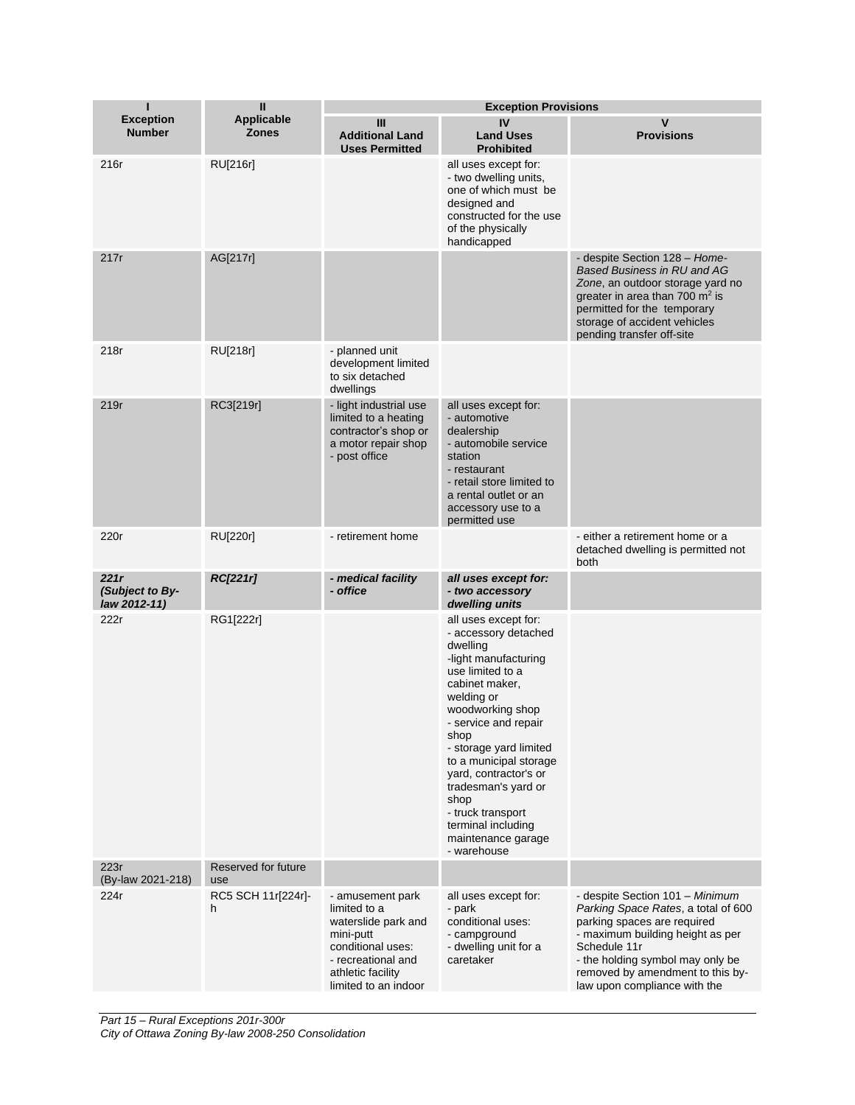| П                                       | Ш                                 |                                                                                                                                                              | <b>Exception Provisions</b>                                                                                                                                                                                                                                                                                                                                                          |                                                                                                                                                                                                                                                                   |
|-----------------------------------------|-----------------------------------|--------------------------------------------------------------------------------------------------------------------------------------------------------------|--------------------------------------------------------------------------------------------------------------------------------------------------------------------------------------------------------------------------------------------------------------------------------------------------------------------------------------------------------------------------------------|-------------------------------------------------------------------------------------------------------------------------------------------------------------------------------------------------------------------------------------------------------------------|
| <b>Exception</b><br><b>Number</b>       | <b>Applicable</b><br><b>Zones</b> | Ш<br><b>Additional Land</b><br><b>Uses Permitted</b>                                                                                                         | IV<br><b>Land Uses</b><br><b>Prohibited</b>                                                                                                                                                                                                                                                                                                                                          | V<br><b>Provisions</b>                                                                                                                                                                                                                                            |
| 216r                                    | RU[216r]                          |                                                                                                                                                              | all uses except for:<br>- two dwelling units,<br>one of which must be<br>designed and<br>constructed for the use<br>of the physically<br>handicapped                                                                                                                                                                                                                                 |                                                                                                                                                                                                                                                                   |
| 217r                                    | AG[217r]                          |                                                                                                                                                              |                                                                                                                                                                                                                                                                                                                                                                                      | - despite Section 128 – Home-<br><b>Based Business in RU and AG</b><br>Zone, an outdoor storage yard no<br>greater in area than 700 $m2$ is<br>permitted for the temporary<br>storage of accident vehicles<br>pending transfer off-site                           |
| 218r                                    | RU[218r]                          | - planned unit<br>development limited<br>to six detached<br>dwellings                                                                                        |                                                                                                                                                                                                                                                                                                                                                                                      |                                                                                                                                                                                                                                                                   |
| 219r                                    | RC3[219r]                         | - light industrial use<br>limited to a heating<br>contractor's shop or<br>a motor repair shop<br>- post office                                               | all uses except for:<br>- automotive<br>dealership<br>- automobile service<br>station<br>- restaurant<br>- retail store limited to<br>a rental outlet or an<br>accessory use to a<br>permitted use                                                                                                                                                                                   |                                                                                                                                                                                                                                                                   |
| 220r                                    | RU[220r]                          | - retirement home                                                                                                                                            |                                                                                                                                                                                                                                                                                                                                                                                      | - either a retirement home or a<br>detached dwelling is permitted not<br>both                                                                                                                                                                                     |
| 221r<br>(Subject to By-<br>law 2012-11) | <b>RC[221r]</b>                   | - medical facility<br>- office                                                                                                                               | all uses except for:<br>- two accessory<br>dwelling units                                                                                                                                                                                                                                                                                                                            |                                                                                                                                                                                                                                                                   |
| 222r                                    | RG1[222r]                         |                                                                                                                                                              | all uses except for:<br>- accessory detached<br>dwelling<br>-light manufacturing<br>use limited to a<br>cabinet maker,<br>welding or<br>woodworking shop<br>- service and repair<br>shop<br>- storage yard limited<br>to a municipal storage<br>yard, contractor's or<br>tradesman's yard or<br>shop<br>- truck transport<br>terminal including<br>maintenance garage<br>- warehouse |                                                                                                                                                                                                                                                                   |
| 223r<br>(By-law 2021-218)               | Reserved for future<br>use        |                                                                                                                                                              |                                                                                                                                                                                                                                                                                                                                                                                      |                                                                                                                                                                                                                                                                   |
| 224r                                    | RC5 SCH 11r[224r]-<br>h           | - amusement park<br>limited to a<br>waterslide park and<br>mini-putt<br>conditional uses:<br>- recreational and<br>athletic facility<br>limited to an indoor | all uses except for:<br>- park<br>conditional uses:<br>- campground<br>- dwelling unit for a<br>caretaker                                                                                                                                                                                                                                                                            | - despite Section 101 - Minimum<br>Parking Space Rates, a total of 600<br>parking spaces are required<br>- maximum building height as per<br>Schedule 11r<br>- the holding symbol may only be<br>removed by amendment to this by-<br>law upon compliance with the |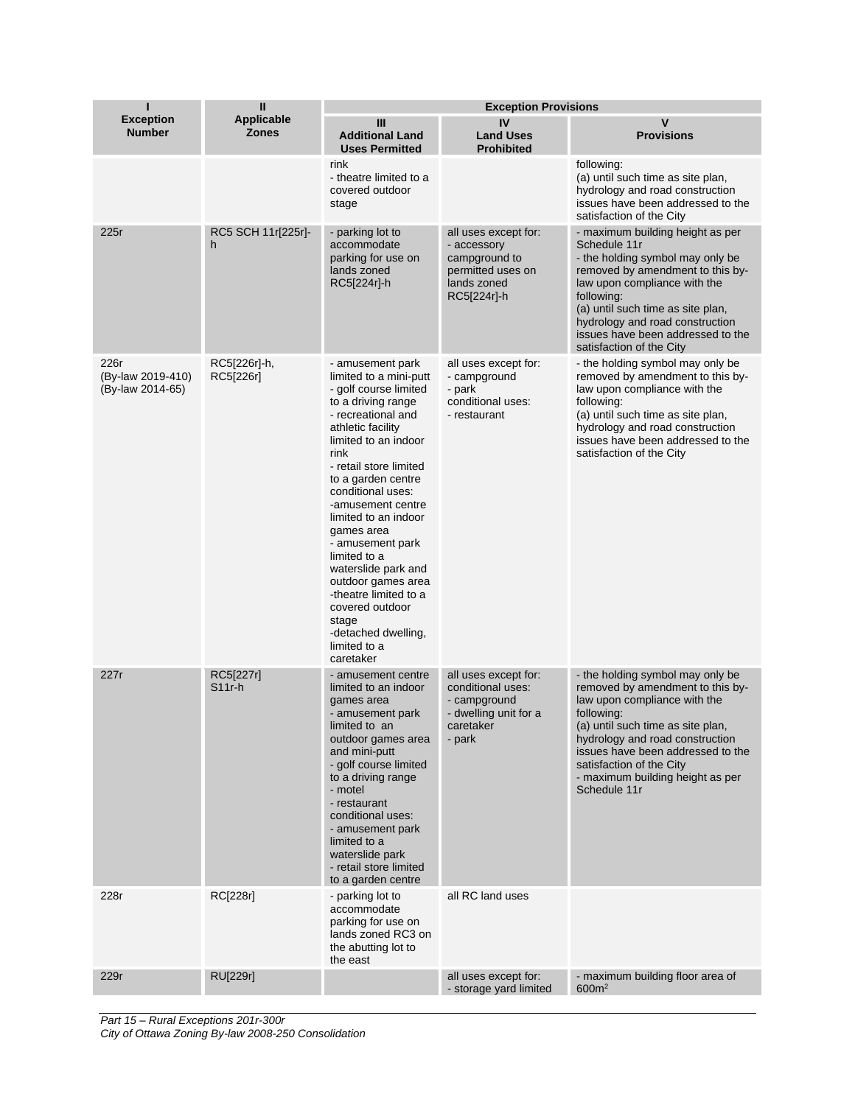| Ī                                             | $\mathbf{I}$                      | <b>Exception Provisions</b>                                                                                                                                                                                                                                                                                                                                                                                                                                                                    |                                                                                                           |                                                                                                                                                                                                                                                                                                                 |  |
|-----------------------------------------------|-----------------------------------|------------------------------------------------------------------------------------------------------------------------------------------------------------------------------------------------------------------------------------------------------------------------------------------------------------------------------------------------------------------------------------------------------------------------------------------------------------------------------------------------|-----------------------------------------------------------------------------------------------------------|-----------------------------------------------------------------------------------------------------------------------------------------------------------------------------------------------------------------------------------------------------------------------------------------------------------------|--|
| <b>Exception</b><br><b>Number</b>             | <b>Applicable</b><br><b>Zones</b> | III<br><b>Additional Land</b><br><b>Uses Permitted</b>                                                                                                                                                                                                                                                                                                                                                                                                                                         | IV<br><b>Land Uses</b><br><b>Prohibited</b>                                                               | $\mathsf{v}$<br><b>Provisions</b>                                                                                                                                                                                                                                                                               |  |
|                                               |                                   | rink<br>- theatre limited to a<br>covered outdoor<br>stage                                                                                                                                                                                                                                                                                                                                                                                                                                     |                                                                                                           | following:<br>(a) until such time as site plan,<br>hydrology and road construction<br>issues have been addressed to the<br>satisfaction of the City                                                                                                                                                             |  |
| 225r                                          | RC5 SCH 11r[225r]-<br>h           | - parking lot to<br>accommodate<br>parking for use on<br>lands zoned<br>RC5[224r]-h                                                                                                                                                                                                                                                                                                                                                                                                            | all uses except for:<br>- accessory<br>campground to<br>permitted uses on<br>lands zoned<br>RC5[224r]-h   | - maximum building height as per<br>Schedule 11r<br>- the holding symbol may only be<br>removed by amendment to this by-<br>law upon compliance with the<br>following:<br>(a) until such time as site plan,<br>hydrology and road construction<br>issues have been addressed to the<br>satisfaction of the City |  |
| 226r<br>(By-law 2019-410)<br>(By-law 2014-65) | RC5[226r]-h,<br>RC5[226r]         | - amusement park<br>limited to a mini-putt<br>- golf course limited<br>to a driving range<br>- recreational and<br>athletic facility<br>limited to an indoor<br>rink<br>- retail store limited<br>to a garden centre<br>conditional uses:<br>-amusement centre<br>limited to an indoor<br>games area<br>- amusement park<br>limited to a<br>waterslide park and<br>outdoor games area<br>-theatre limited to a<br>covered outdoor<br>stage<br>-detached dwelling,<br>limited to a<br>caretaker | all uses except for:<br>- campground<br>- park<br>conditional uses:<br>- restaurant                       | - the holding symbol may only be<br>removed by amendment to this by-<br>law upon compliance with the<br>following:<br>(a) until such time as site plan,<br>hydrology and road construction<br>issues have been addressed to the<br>satisfaction of the City                                                     |  |
| 227r                                          | RC5[227r]<br>$S11r-h$             | - amusement centre<br>limited to an indoor<br>games area<br>- amusement park<br>limited to an<br>outdoor games area<br>and mini-putt<br>- golf course limited<br>to a driving range<br>- motel<br>- restaurant<br>conditional uses:<br>- amusement park<br>limited to a<br>waterslide park<br>- retail store limited<br>to a garden centre                                                                                                                                                     | all uses except for:<br>conditional uses:<br>- campground<br>- dwelling unit for a<br>caretaker<br>- park | - the holding symbol may only be<br>removed by amendment to this by-<br>law upon compliance with the<br>following:<br>(a) until such time as site plan,<br>hydrology and road construction<br>issues have been addressed to the<br>satisfaction of the City<br>- maximum building height as per<br>Schedule 11r |  |
| 228r                                          | RC[228r]                          | - parking lot to<br>accommodate<br>parking for use on<br>lands zoned RC3 on<br>the abutting lot to<br>the east                                                                                                                                                                                                                                                                                                                                                                                 | all RC land uses                                                                                          |                                                                                                                                                                                                                                                                                                                 |  |
| 229r                                          | <b>RU[229r]</b>                   |                                                                                                                                                                                                                                                                                                                                                                                                                                                                                                | all uses except for:<br>- storage yard limited                                                            | - maximum building floor area of<br>600m <sup>2</sup>                                                                                                                                                                                                                                                           |  |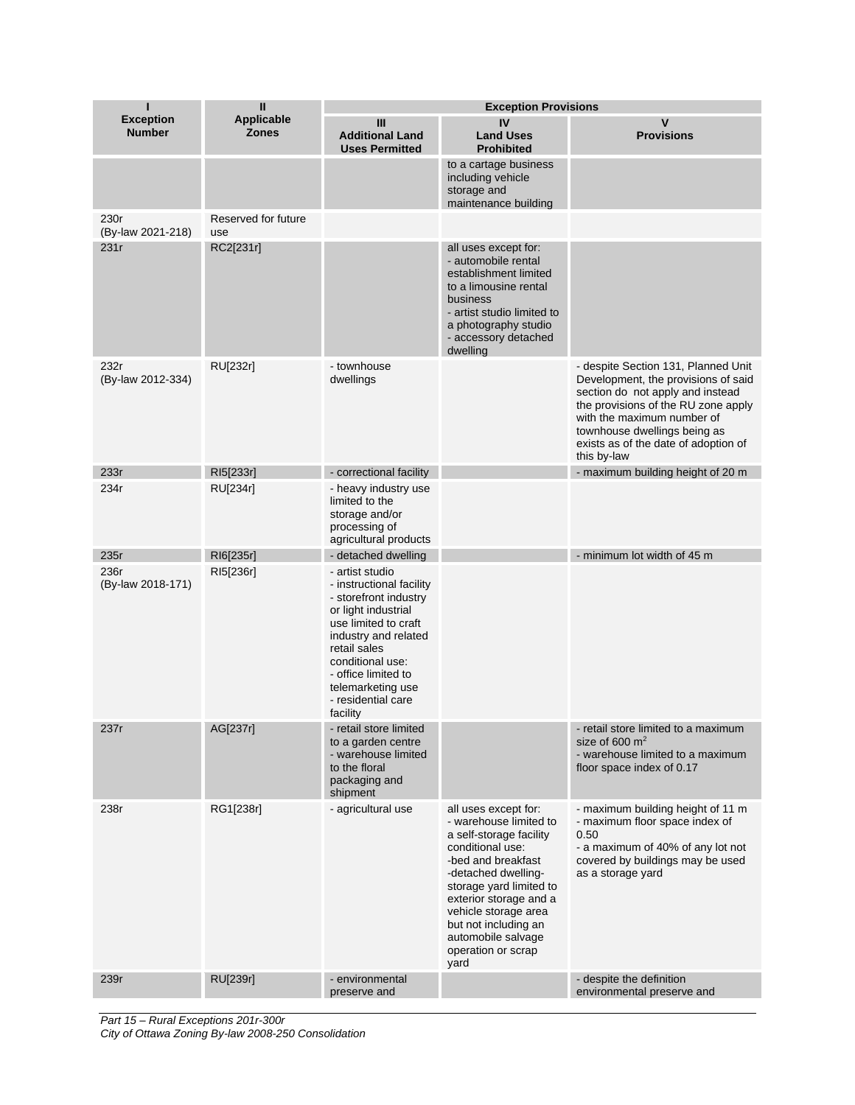|                                   | Ш                                 | <b>Exception Provisions</b>                                                                                                                                                                                                                                   |                                                                                                                                                                                                                                                                                                     |                                                                                                                                                                                                                                                                            |  |
|-----------------------------------|-----------------------------------|---------------------------------------------------------------------------------------------------------------------------------------------------------------------------------------------------------------------------------------------------------------|-----------------------------------------------------------------------------------------------------------------------------------------------------------------------------------------------------------------------------------------------------------------------------------------------------|----------------------------------------------------------------------------------------------------------------------------------------------------------------------------------------------------------------------------------------------------------------------------|--|
| <b>Exception</b><br><b>Number</b> | <b>Applicable</b><br><b>Zones</b> | Ш<br><b>Additional Land</b><br><b>Uses Permitted</b>                                                                                                                                                                                                          | IV<br><b>Land Uses</b><br><b>Prohibited</b>                                                                                                                                                                                                                                                         | v<br><b>Provisions</b>                                                                                                                                                                                                                                                     |  |
|                                   |                                   |                                                                                                                                                                                                                                                               | to a cartage business<br>including vehicle<br>storage and<br>maintenance building                                                                                                                                                                                                                   |                                                                                                                                                                                                                                                                            |  |
| 230r<br>(By-law 2021-218)         | Reserved for future<br>use        |                                                                                                                                                                                                                                                               |                                                                                                                                                                                                                                                                                                     |                                                                                                                                                                                                                                                                            |  |
| 231r                              | RC2[231r]                         |                                                                                                                                                                                                                                                               | all uses except for:<br>- automobile rental<br>establishment limited<br>to a limousine rental<br>business<br>- artist studio limited to<br>a photography studio<br>- accessory detached<br>dwelling                                                                                                 |                                                                                                                                                                                                                                                                            |  |
| 232r<br>(By-law 2012-334)         | RU[232r]                          | - townhouse<br>dwellings                                                                                                                                                                                                                                      |                                                                                                                                                                                                                                                                                                     | - despite Section 131, Planned Unit<br>Development, the provisions of said<br>section do not apply and instead<br>the provisions of the RU zone apply<br>with the maximum number of<br>townhouse dwellings being as<br>exists as of the date of adoption of<br>this by-law |  |
| 233r                              | RI5[233r]                         | - correctional facility                                                                                                                                                                                                                                       |                                                                                                                                                                                                                                                                                                     | - maximum building height of 20 m                                                                                                                                                                                                                                          |  |
| 234r                              | RU[234r]                          | - heavy industry use<br>limited to the<br>storage and/or<br>processing of<br>agricultural products                                                                                                                                                            |                                                                                                                                                                                                                                                                                                     |                                                                                                                                                                                                                                                                            |  |
| 235r                              | RI6[235r]                         | - detached dwelling                                                                                                                                                                                                                                           |                                                                                                                                                                                                                                                                                                     | - minimum lot width of 45 m                                                                                                                                                                                                                                                |  |
| 236r<br>(By-law 2018-171)         | RI5[236r]                         | - artist studio<br>- instructional facility<br>- storefront industry<br>or light industrial<br>use limited to craft<br>industry and related<br>retail sales<br>conditional use:<br>- office limited to<br>telemarketing use<br>- residential care<br>facility |                                                                                                                                                                                                                                                                                                     |                                                                                                                                                                                                                                                                            |  |
| 237r                              | AG[237r]                          | - retail store limited<br>to a garden centre<br>- warehouse limited<br>to the floral<br>packaging and<br>shipment                                                                                                                                             |                                                                                                                                                                                                                                                                                                     | - retail store limited to a maximum<br>size of $600 \text{ m}^2$<br>- warehouse limited to a maximum<br>floor space index of 0.17                                                                                                                                          |  |
| 238r                              | RG1[238r]                         | - agricultural use                                                                                                                                                                                                                                            | all uses except for:<br>- warehouse limited to<br>a self-storage facility<br>conditional use:<br>-bed and breakfast<br>-detached dwelling-<br>storage yard limited to<br>exterior storage and a<br>vehicle storage area<br>but not including an<br>automobile salvage<br>operation or scrap<br>yard | - maximum building height of 11 m<br>- maximum floor space index of<br>0.50<br>- a maximum of 40% of any lot not<br>covered by buildings may be used<br>as a storage yard                                                                                                  |  |
| 239r                              | RU[239r]                          | - environmental<br>preserve and                                                                                                                                                                                                                               |                                                                                                                                                                                                                                                                                                     | - despite the definition<br>environmental preserve and                                                                                                                                                                                                                     |  |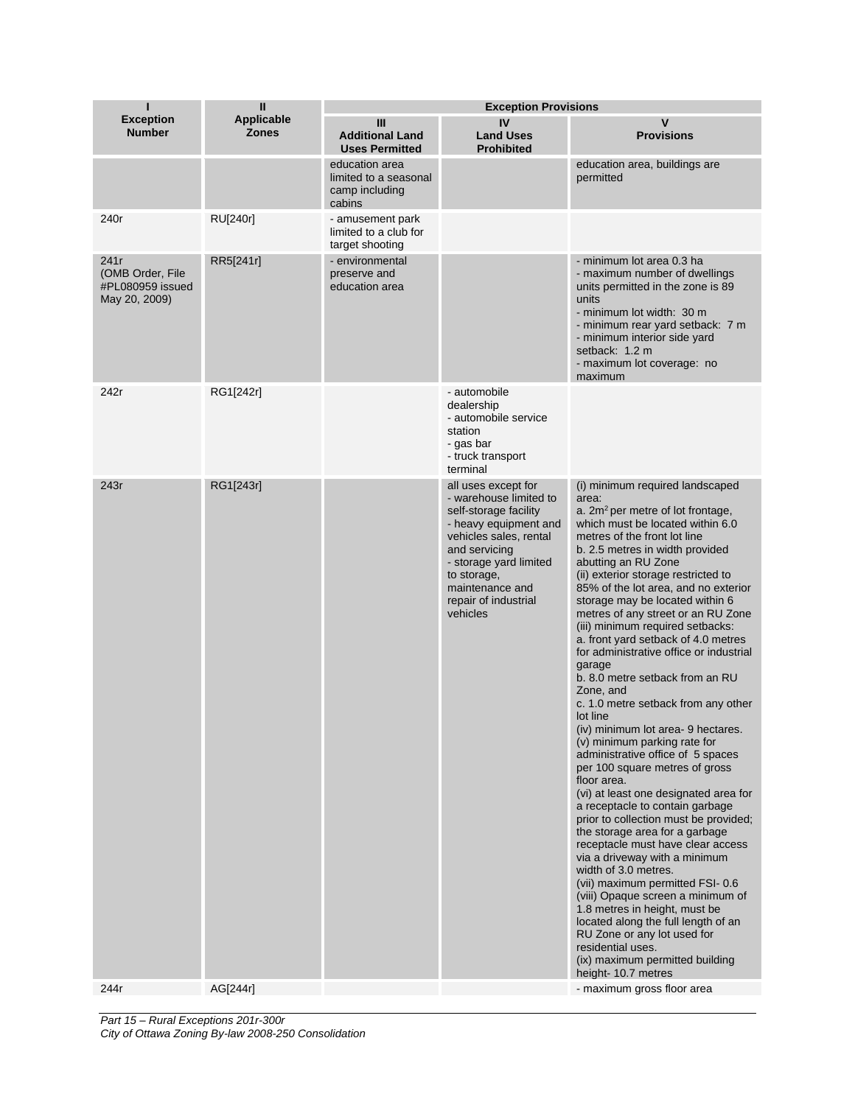| ı                                                             | Ш                                 | <b>Exception Provisions</b>                                         |                                                                                                                                                                                                                                            |                                                                                                                                                                                                                                                                                                                                                                                                                                                                                                                                                                                                                                                                                                                                                                                                                                                                                                                                                                                                                                                                                                                                                                                                                                                                                                   |  |
|---------------------------------------------------------------|-----------------------------------|---------------------------------------------------------------------|--------------------------------------------------------------------------------------------------------------------------------------------------------------------------------------------------------------------------------------------|---------------------------------------------------------------------------------------------------------------------------------------------------------------------------------------------------------------------------------------------------------------------------------------------------------------------------------------------------------------------------------------------------------------------------------------------------------------------------------------------------------------------------------------------------------------------------------------------------------------------------------------------------------------------------------------------------------------------------------------------------------------------------------------------------------------------------------------------------------------------------------------------------------------------------------------------------------------------------------------------------------------------------------------------------------------------------------------------------------------------------------------------------------------------------------------------------------------------------------------------------------------------------------------------------|--|
| <b>Exception</b><br><b>Number</b>                             | <b>Applicable</b><br><b>Zones</b> | Ш<br><b>Additional Land</b><br><b>Uses Permitted</b>                | IV<br><b>Land Uses</b><br><b>Prohibited</b>                                                                                                                                                                                                | $\mathsf{v}$<br><b>Provisions</b>                                                                                                                                                                                                                                                                                                                                                                                                                                                                                                                                                                                                                                                                                                                                                                                                                                                                                                                                                                                                                                                                                                                                                                                                                                                                 |  |
|                                                               |                                   | education area<br>limited to a seasonal<br>camp including<br>cabins |                                                                                                                                                                                                                                            | education area, buildings are<br>permitted                                                                                                                                                                                                                                                                                                                                                                                                                                                                                                                                                                                                                                                                                                                                                                                                                                                                                                                                                                                                                                                                                                                                                                                                                                                        |  |
| 240r                                                          | <b>RU[240r]</b>                   | - amusement park<br>limited to a club for<br>target shooting        |                                                                                                                                                                                                                                            |                                                                                                                                                                                                                                                                                                                                                                                                                                                                                                                                                                                                                                                                                                                                                                                                                                                                                                                                                                                                                                                                                                                                                                                                                                                                                                   |  |
| 241r<br>(OMB Order, File<br>#PL080959 issued<br>May 20, 2009) | RR5[241r]                         | - environmental<br>preserve and<br>education area                   |                                                                                                                                                                                                                                            | - minimum lot area 0.3 ha<br>- maximum number of dwellings<br>units permitted in the zone is 89<br>units<br>- minimum lot width: 30 m<br>- minimum rear yard setback: 7 m<br>- minimum interior side yard<br>setback: 1.2 m<br>- maximum lot coverage: no<br>maximum                                                                                                                                                                                                                                                                                                                                                                                                                                                                                                                                                                                                                                                                                                                                                                                                                                                                                                                                                                                                                              |  |
| 242r                                                          | RG1[242r]                         |                                                                     | - automobile<br>dealership<br>- automobile service<br>station<br>- gas bar<br>- truck transport<br>terminal                                                                                                                                |                                                                                                                                                                                                                                                                                                                                                                                                                                                                                                                                                                                                                                                                                                                                                                                                                                                                                                                                                                                                                                                                                                                                                                                                                                                                                                   |  |
| 243r                                                          | RG1[243r]                         |                                                                     | all uses except for<br>- warehouse limited to<br>self-storage facility<br>- heavy equipment and<br>vehicles sales, rental<br>and servicing<br>- storage yard limited<br>to storage,<br>maintenance and<br>repair of industrial<br>vehicles | (i) minimum required landscaped<br>area:<br>a. 2m <sup>2</sup> per metre of lot frontage,<br>which must be located within 6.0<br>metres of the front lot line<br>b. 2.5 metres in width provided<br>abutting an RU Zone<br>(ii) exterior storage restricted to<br>85% of the lot area, and no exterior<br>storage may be located within 6<br>metres of any street or an RU Zone<br>(iii) minimum required setbacks:<br>a. front yard setback of 4.0 metres<br>for administrative office or industrial<br>garage<br>b. 8.0 metre setback from an RU<br>Zone, and<br>c. 1.0 metre setback from any other<br>lot line<br>(iv) minimum lot area- 9 hectares.<br>(v) minimum parking rate for<br>administrative office of 5 spaces<br>per 100 square metres of gross<br>floor area.<br>(vi) at least one designated area for<br>a receptacle to contain garbage<br>prior to collection must be provided;<br>the storage area for a garbage<br>receptacle must have clear access<br>via a driveway with a minimum<br>width of 3.0 metres.<br>(vii) maximum permitted FSI- 0.6<br>(viii) Opaque screen a minimum of<br>1.8 metres in height, must be<br>located along the full length of an<br>RU Zone or any lot used for<br>residential uses.<br>(ix) maximum permitted building<br>height-10.7 metres |  |
| 244r                                                          | AG[244r]                          |                                                                     |                                                                                                                                                                                                                                            | - maximum gross floor area                                                                                                                                                                                                                                                                                                                                                                                                                                                                                                                                                                                                                                                                                                                                                                                                                                                                                                                                                                                                                                                                                                                                                                                                                                                                        |  |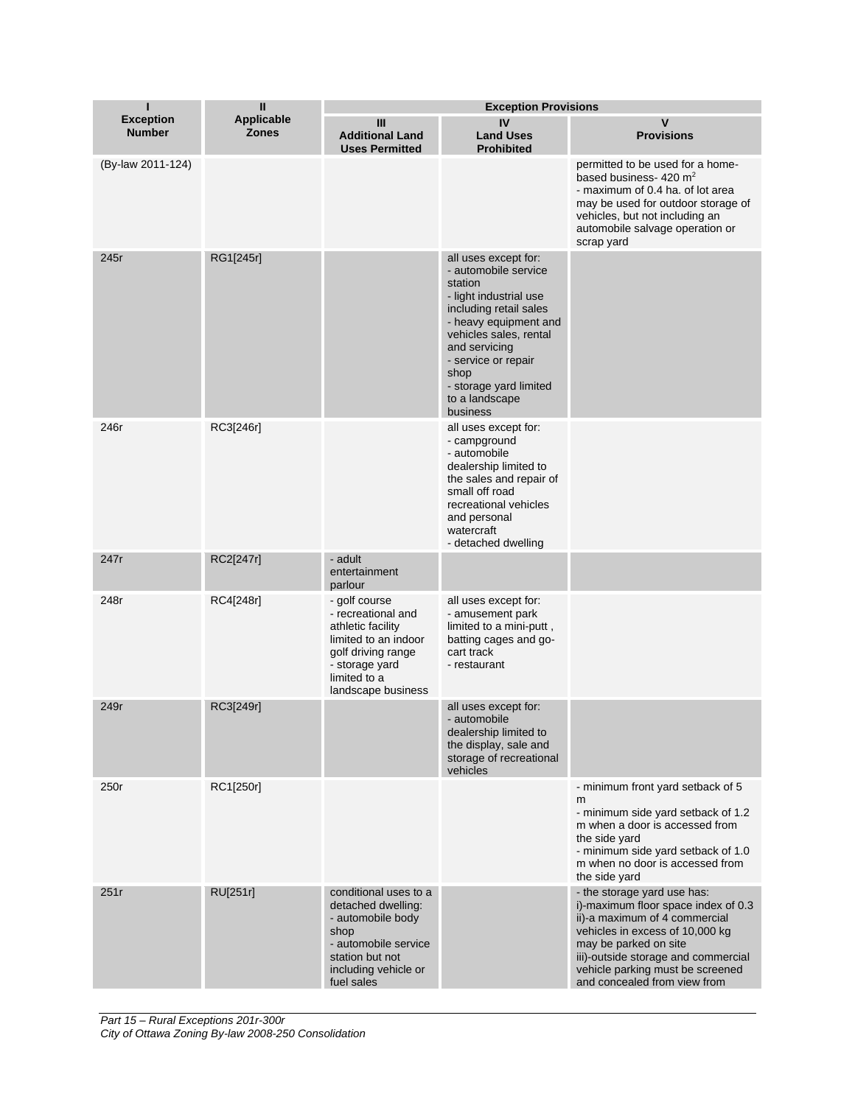| ı                                 | Ш                                 |                                                                                                                                                                | <b>Exception Provisions</b>                                                                                                                                                                                                                                            |                                                                                                                                                                                                                                                                            |  |
|-----------------------------------|-----------------------------------|----------------------------------------------------------------------------------------------------------------------------------------------------------------|------------------------------------------------------------------------------------------------------------------------------------------------------------------------------------------------------------------------------------------------------------------------|----------------------------------------------------------------------------------------------------------------------------------------------------------------------------------------------------------------------------------------------------------------------------|--|
| <b>Exception</b><br><b>Number</b> | <b>Applicable</b><br><b>Zones</b> | Ш<br><b>Additional Land</b><br><b>Uses Permitted</b>                                                                                                           | IV<br><b>Land Uses</b><br><b>Prohibited</b>                                                                                                                                                                                                                            | V<br><b>Provisions</b>                                                                                                                                                                                                                                                     |  |
| (By-law 2011-124)                 |                                   |                                                                                                                                                                |                                                                                                                                                                                                                                                                        | permitted to be used for a home-<br>based business- $420 \text{ m}^2$<br>- maximum of 0.4 ha. of lot area<br>may be used for outdoor storage of<br>vehicles, but not including an<br>automobile salvage operation or<br>scrap yard                                         |  |
| 245r                              | RG1[245r]                         |                                                                                                                                                                | all uses except for:<br>- automobile service<br>station<br>- light industrial use<br>including retail sales<br>- heavy equipment and<br>vehicles sales, rental<br>and servicing<br>- service or repair<br>shop<br>- storage yard limited<br>to a landscape<br>business |                                                                                                                                                                                                                                                                            |  |
| 246r                              | RC3[246r]                         |                                                                                                                                                                | all uses except for:<br>- campground<br>- automobile<br>dealership limited to<br>the sales and repair of<br>small off road<br>recreational vehicles<br>and personal<br>watercraft<br>- detached dwelling                                                               |                                                                                                                                                                                                                                                                            |  |
| 247r                              | RC2[247r]                         | - adult<br>entertainment<br>parlour                                                                                                                            |                                                                                                                                                                                                                                                                        |                                                                                                                                                                                                                                                                            |  |
| 248r                              | RC4[248r]                         | - golf course<br>- recreational and<br>athletic facility<br>limited to an indoor<br>golf driving range<br>- storage yard<br>limited to a<br>landscape business | all uses except for:<br>- amusement park<br>limited to a mini-putt,<br>batting cages and go-<br>cart track<br>- restaurant                                                                                                                                             |                                                                                                                                                                                                                                                                            |  |
| 249r                              | RC3[249r]                         |                                                                                                                                                                | all uses except for:<br>- automobile<br>dealership limited to<br>the display, sale and<br>storage of recreational<br>vehicles                                                                                                                                          |                                                                                                                                                                                                                                                                            |  |
| 250r                              | RC1[250r]                         |                                                                                                                                                                |                                                                                                                                                                                                                                                                        | - minimum front yard setback of 5<br>m<br>- minimum side yard setback of 1.2<br>m when a door is accessed from<br>the side yard<br>- minimum side yard setback of 1.0<br>m when no door is accessed from<br>the side yard                                                  |  |
| 251r                              | RU[251r]                          | conditional uses to a<br>detached dwelling:<br>- automobile body<br>shop<br>- automobile service<br>station but not<br>including vehicle or<br>fuel sales      |                                                                                                                                                                                                                                                                        | - the storage yard use has:<br>i)-maximum floor space index of 0.3<br>ii)-a maximum of 4 commercial<br>vehicles in excess of 10,000 kg<br>may be parked on site<br>iii)-outside storage and commercial<br>vehicle parking must be screened<br>and concealed from view from |  |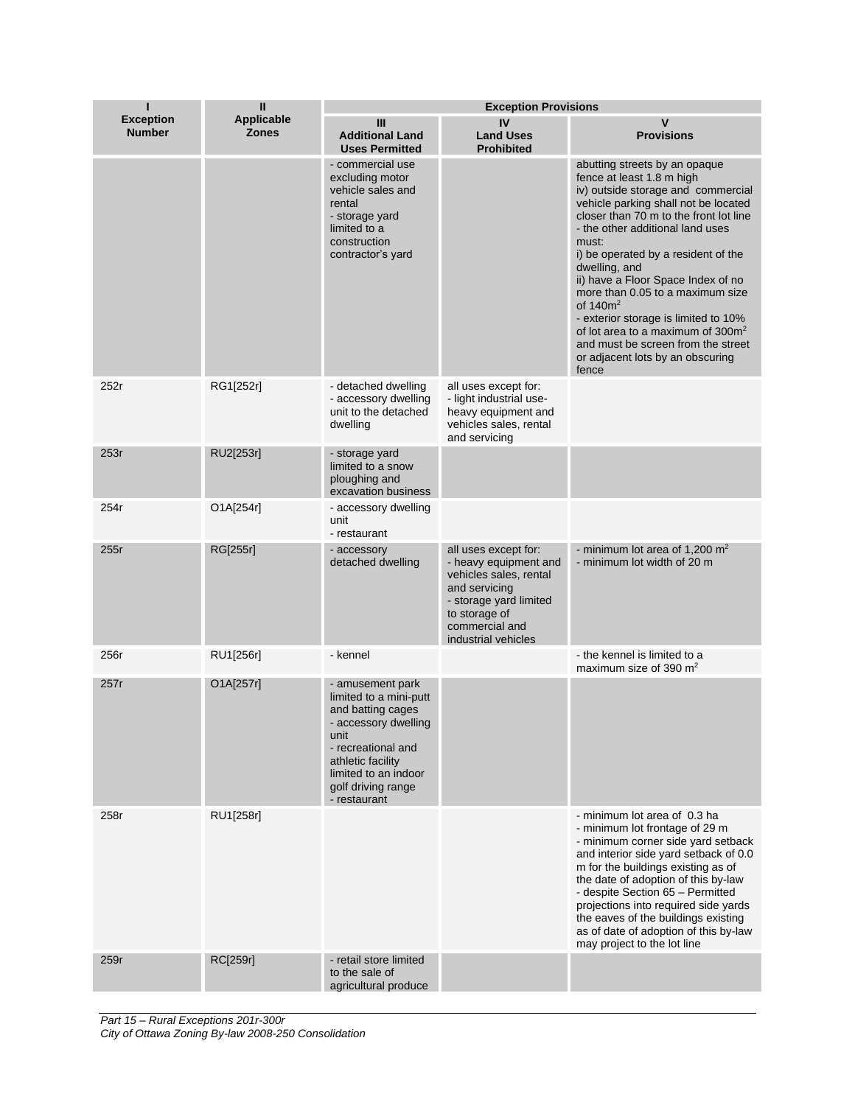| п                                 | Ш                                 | <b>Exception Provisions</b>                                                                                                                                                                              |                                                                                                                                                                              |                                                                                                                                                                                                                                                                                                                                                                                                                                                                                                                                                     |  |
|-----------------------------------|-----------------------------------|----------------------------------------------------------------------------------------------------------------------------------------------------------------------------------------------------------|------------------------------------------------------------------------------------------------------------------------------------------------------------------------------|-----------------------------------------------------------------------------------------------------------------------------------------------------------------------------------------------------------------------------------------------------------------------------------------------------------------------------------------------------------------------------------------------------------------------------------------------------------------------------------------------------------------------------------------------------|--|
| <b>Exception</b><br><b>Number</b> | <b>Applicable</b><br><b>Zones</b> | Ш<br><b>Additional Land</b><br><b>Uses Permitted</b>                                                                                                                                                     | IV<br><b>Land Uses</b><br><b>Prohibited</b>                                                                                                                                  | $\mathsf{v}$<br><b>Provisions</b>                                                                                                                                                                                                                                                                                                                                                                                                                                                                                                                   |  |
|                                   |                                   | - commercial use<br>excluding motor<br>vehicle sales and<br>rental<br>- storage yard<br>limited to a<br>construction<br>contractor's yard                                                                |                                                                                                                                                                              | abutting streets by an opaque<br>fence at least 1.8 m high<br>iv) outside storage and commercial<br>vehicle parking shall not be located<br>closer than 70 m to the front lot line<br>- the other additional land uses<br>must:<br>i) be operated by a resident of the<br>dwelling, and<br>ii) have a Floor Space Index of no<br>more than 0.05 to a maximum size<br>of $140m^2$<br>- exterior storage is limited to 10%<br>of lot area to a maximum of $300m^2$<br>and must be screen from the street<br>or adjacent lots by an obscuring<br>fence |  |
| 252r                              | RG1[252r]                         | - detached dwelling<br>- accessory dwelling<br>unit to the detached<br>dwelling                                                                                                                          | all uses except for:<br>- light industrial use-<br>heavy equipment and<br>vehicles sales, rental<br>and servicing                                                            |                                                                                                                                                                                                                                                                                                                                                                                                                                                                                                                                                     |  |
| 253r                              | RU2[253r]                         | - storage yard<br>limited to a snow<br>ploughing and<br>excavation business                                                                                                                              |                                                                                                                                                                              |                                                                                                                                                                                                                                                                                                                                                                                                                                                                                                                                                     |  |
| 254r                              | O1A[254r]                         | - accessory dwelling<br>unit<br>- restaurant                                                                                                                                                             |                                                                                                                                                                              |                                                                                                                                                                                                                                                                                                                                                                                                                                                                                                                                                     |  |
| 255r                              | RG[255r]                          | - accessory<br>detached dwelling                                                                                                                                                                         | all uses except for:<br>- heavy equipment and<br>vehicles sales, rental<br>and servicing<br>- storage yard limited<br>to storage of<br>commercial and<br>industrial vehicles | - minimum lot area of 1,200 $m2$<br>- minimum lot width of 20 m                                                                                                                                                                                                                                                                                                                                                                                                                                                                                     |  |
| 256r                              | RU1[256r]                         | - kennel                                                                                                                                                                                                 |                                                                                                                                                                              | - the kennel is limited to a<br>maximum size of 390 $m2$                                                                                                                                                                                                                                                                                                                                                                                                                                                                                            |  |
| 257r                              | O1A[257r]                         | - amusement park<br>limited to a mini-putt<br>and batting cages<br>- accessory dwelling<br>unit<br>- recreational and<br>athletic facility<br>limited to an indoor<br>golf driving range<br>- restaurant |                                                                                                                                                                              |                                                                                                                                                                                                                                                                                                                                                                                                                                                                                                                                                     |  |
| 258r                              | RU1[258r]                         |                                                                                                                                                                                                          |                                                                                                                                                                              | - minimum lot area of 0.3 ha<br>- minimum lot frontage of 29 m<br>- minimum corner side yard setback<br>and interior side yard setback of 0.0<br>m for the buildings existing as of<br>the date of adoption of this by-law<br>- despite Section 65 - Permitted<br>projections into required side yards<br>the eaves of the buildings existing<br>as of date of adoption of this by-law<br>may project to the lot line                                                                                                                               |  |
| 259r                              | RC[259r]                          | - retail store limited<br>to the sale of<br>agricultural produce                                                                                                                                         |                                                                                                                                                                              |                                                                                                                                                                                                                                                                                                                                                                                                                                                                                                                                                     |  |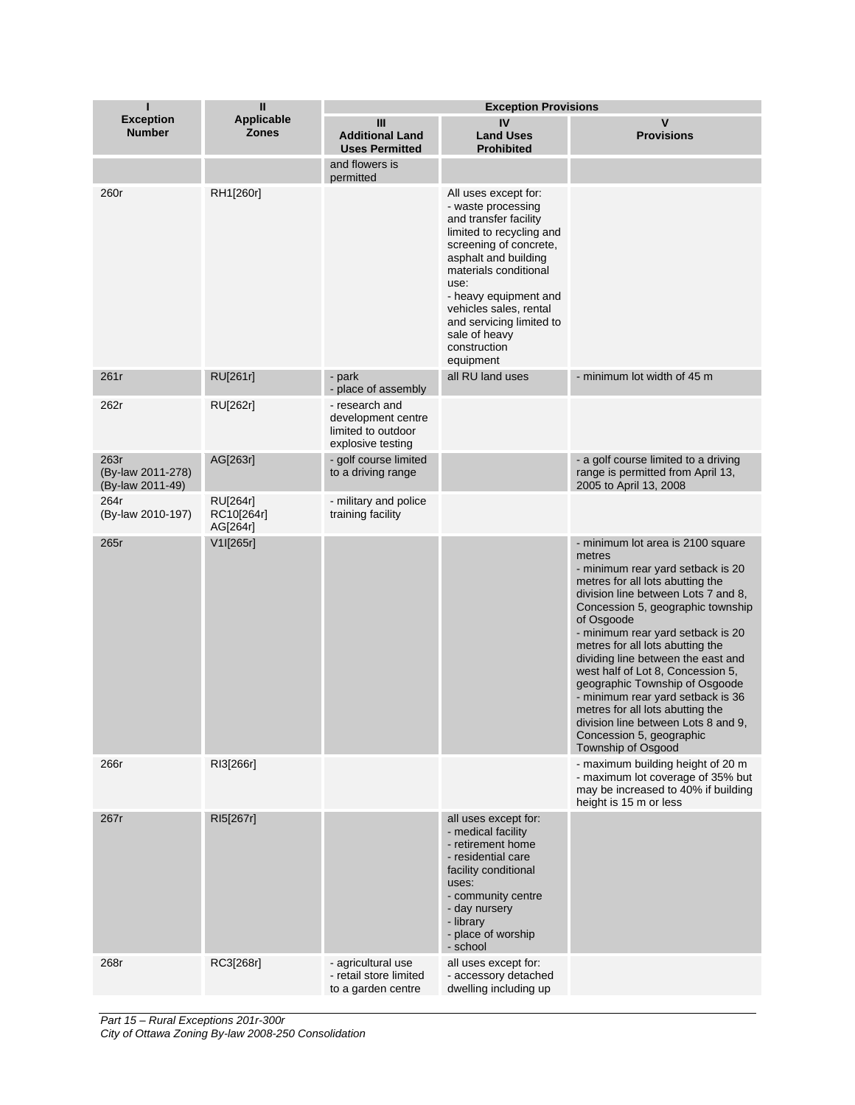| ı                                             | Ш                                  | <b>Exception Provisions</b>                                                     |                                                                                                                                                                                                                                                                                                                 |                                                                                                                                                                                                                                                                                                                                                                                                                                                                                                                                                                               |
|-----------------------------------------------|------------------------------------|---------------------------------------------------------------------------------|-----------------------------------------------------------------------------------------------------------------------------------------------------------------------------------------------------------------------------------------------------------------------------------------------------------------|-------------------------------------------------------------------------------------------------------------------------------------------------------------------------------------------------------------------------------------------------------------------------------------------------------------------------------------------------------------------------------------------------------------------------------------------------------------------------------------------------------------------------------------------------------------------------------|
| <b>Exception</b><br><b>Number</b>             | <b>Applicable</b><br><b>Zones</b>  | Ш<br><b>Additional Land</b><br><b>Uses Permitted</b>                            | IV<br><b>Land Uses</b><br><b>Prohibited</b>                                                                                                                                                                                                                                                                     | V<br><b>Provisions</b>                                                                                                                                                                                                                                                                                                                                                                                                                                                                                                                                                        |
|                                               |                                    | and flowers is<br>permitted                                                     |                                                                                                                                                                                                                                                                                                                 |                                                                                                                                                                                                                                                                                                                                                                                                                                                                                                                                                                               |
| 260r                                          | RH1[260r]                          |                                                                                 | All uses except for:<br>- waste processing<br>and transfer facility<br>limited to recycling and<br>screening of concrete,<br>asphalt and building<br>materials conditional<br>use:<br>- heavy equipment and<br>vehicles sales, rental<br>and servicing limited to<br>sale of heavy<br>construction<br>equipment |                                                                                                                                                                                                                                                                                                                                                                                                                                                                                                                                                                               |
| 261r                                          | RU[261r]                           | - park<br>- place of assembly                                                   | all RU land uses                                                                                                                                                                                                                                                                                                | - minimum lot width of 45 m                                                                                                                                                                                                                                                                                                                                                                                                                                                                                                                                                   |
| 262r                                          | RU[262r]                           | - research and<br>development centre<br>limited to outdoor<br>explosive testing |                                                                                                                                                                                                                                                                                                                 |                                                                                                                                                                                                                                                                                                                                                                                                                                                                                                                                                                               |
| 263r<br>(By-law 2011-278)<br>(By-law 2011-49) | AG[263r]                           | - golf course limited<br>to a driving range                                     |                                                                                                                                                                                                                                                                                                                 | - a golf course limited to a driving<br>range is permitted from April 13,<br>2005 to April 13, 2008                                                                                                                                                                                                                                                                                                                                                                                                                                                                           |
| 264r<br>(By-law 2010-197)                     | RU[264r]<br>RC10[264r]<br>AG[264r] | - military and police<br>training facility                                      |                                                                                                                                                                                                                                                                                                                 |                                                                                                                                                                                                                                                                                                                                                                                                                                                                                                                                                                               |
| 265r                                          | V1I[265r]                          |                                                                                 |                                                                                                                                                                                                                                                                                                                 | - minimum lot area is 2100 square<br>metres<br>- minimum rear yard setback is 20<br>metres for all lots abutting the<br>division line between Lots 7 and 8,<br>Concession 5, geographic township<br>of Osgoode<br>- minimum rear yard setback is 20<br>metres for all lots abutting the<br>dividing line between the east and<br>west half of Lot 8, Concession 5,<br>geographic Township of Osgoode<br>- minimum rear yard setback is 36<br>metres for all lots abutting the<br>division line between Lots 8 and 9,<br>Concession 5, geographic<br><b>Township of Osgood</b> |
| 266r                                          | RI3[266r]                          |                                                                                 |                                                                                                                                                                                                                                                                                                                 | - maximum building height of 20 m<br>- maximum lot coverage of 35% but<br>may be increased to 40% if building<br>height is 15 m or less                                                                                                                                                                                                                                                                                                                                                                                                                                       |
| 267r                                          | RI5[267r]                          |                                                                                 | all uses except for:<br>- medical facility<br>- retirement home<br>- residential care<br>facility conditional<br>uses:<br>- community centre<br>- day nursery<br>- library<br>- place of worship<br>- school                                                                                                    |                                                                                                                                                                                                                                                                                                                                                                                                                                                                                                                                                                               |
| 268r                                          | RC3[268r]                          | - agricultural use<br>- retail store limited<br>to a garden centre              | all uses except for:<br>- accessory detached<br>dwelling including up                                                                                                                                                                                                                                           |                                                                                                                                                                                                                                                                                                                                                                                                                                                                                                                                                                               |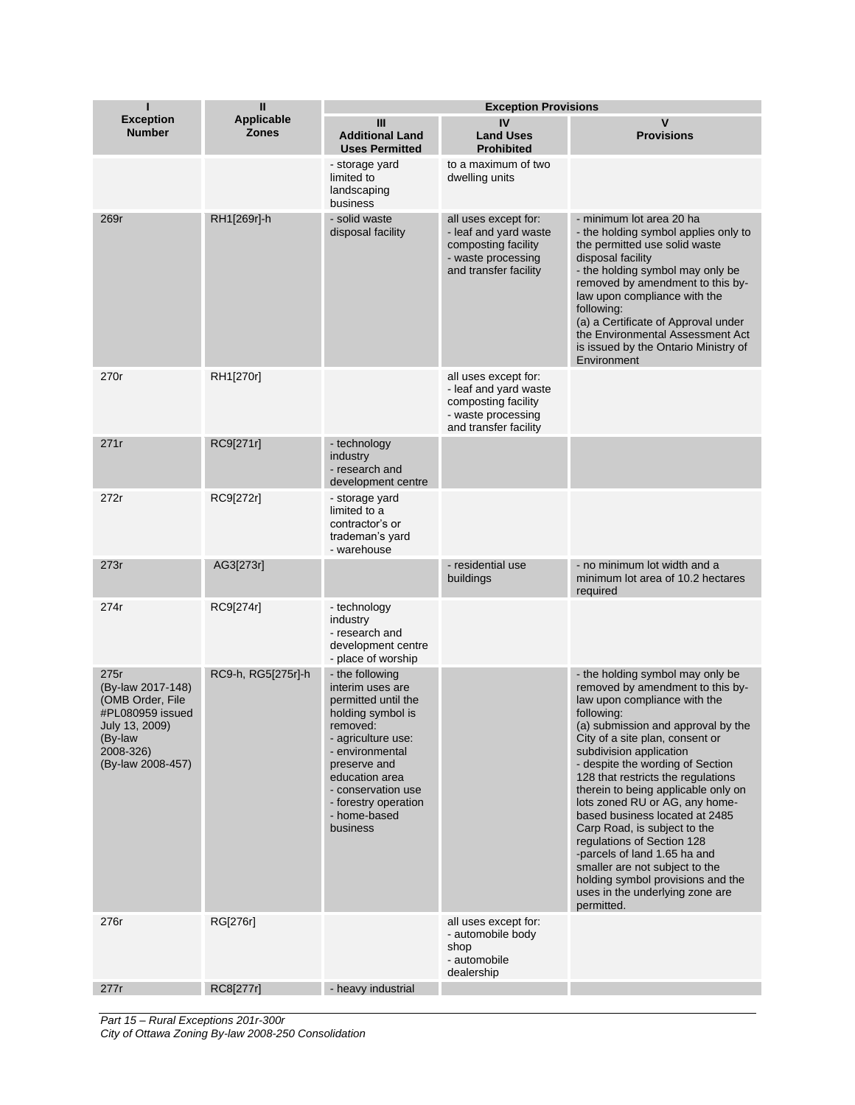| п                                                                                                                                | Ш                                 | <b>Exception Provisions</b>                                                                                                                                                                                                                      |                                                                                                                     |                                                                                                                                                                                                                                                                                                                                                                                                                                                                                                                                                                                                                                   |
|----------------------------------------------------------------------------------------------------------------------------------|-----------------------------------|--------------------------------------------------------------------------------------------------------------------------------------------------------------------------------------------------------------------------------------------------|---------------------------------------------------------------------------------------------------------------------|-----------------------------------------------------------------------------------------------------------------------------------------------------------------------------------------------------------------------------------------------------------------------------------------------------------------------------------------------------------------------------------------------------------------------------------------------------------------------------------------------------------------------------------------------------------------------------------------------------------------------------------|
| <b>Exception</b><br><b>Number</b>                                                                                                | <b>Applicable</b><br><b>Zones</b> | Ш<br><b>Additional Land</b><br><b>Uses Permitted</b>                                                                                                                                                                                             | IV<br><b>Land Uses</b><br><b>Prohibited</b>                                                                         | $\mathbf v$<br><b>Provisions</b>                                                                                                                                                                                                                                                                                                                                                                                                                                                                                                                                                                                                  |
|                                                                                                                                  |                                   | - storage yard<br>limited to<br>landscaping<br>business                                                                                                                                                                                          | to a maximum of two<br>dwelling units                                                                               |                                                                                                                                                                                                                                                                                                                                                                                                                                                                                                                                                                                                                                   |
| 269r                                                                                                                             | RH1[269r]-h                       | - solid waste<br>disposal facility                                                                                                                                                                                                               | all uses except for:<br>- leaf and yard waste<br>composting facility<br>- waste processing<br>and transfer facility | - minimum lot area 20 ha<br>- the holding symbol applies only to<br>the permitted use solid waste<br>disposal facility<br>- the holding symbol may only be<br>removed by amendment to this by-<br>law upon compliance with the<br>following:<br>(a) a Certificate of Approval under<br>the Environmental Assessment Act<br>is issued by the Ontario Ministry of<br>Environment                                                                                                                                                                                                                                                    |
| 270r                                                                                                                             | RH1[270r]                         |                                                                                                                                                                                                                                                  | all uses except for:<br>- leaf and yard waste<br>composting facility<br>- waste processing<br>and transfer facility |                                                                                                                                                                                                                                                                                                                                                                                                                                                                                                                                                                                                                                   |
| 271r                                                                                                                             | RC9[271r]                         | - technology<br>industry<br>- research and<br>development centre                                                                                                                                                                                 |                                                                                                                     |                                                                                                                                                                                                                                                                                                                                                                                                                                                                                                                                                                                                                                   |
| 272r                                                                                                                             | RC9[272r]                         | - storage yard<br>limited to a<br>contractor's or<br>trademan's yard<br>- warehouse                                                                                                                                                              |                                                                                                                     |                                                                                                                                                                                                                                                                                                                                                                                                                                                                                                                                                                                                                                   |
| 273r                                                                                                                             | AG3[273r]                         |                                                                                                                                                                                                                                                  | - residential use<br>buildings                                                                                      | - no minimum lot width and a<br>minimum lot area of 10.2 hectares<br>required                                                                                                                                                                                                                                                                                                                                                                                                                                                                                                                                                     |
| 274r                                                                                                                             | RC9[274r]                         | - technology<br>industry<br>- research and<br>development centre<br>- place of worship                                                                                                                                                           |                                                                                                                     |                                                                                                                                                                                                                                                                                                                                                                                                                                                                                                                                                                                                                                   |
| 275r<br>(By-law 2017-148)<br>(OMB Order, File<br>#PL080959 issued<br>July 13, 2009)<br>(By-law<br>2008-326)<br>(By-law 2008-457) | RC9-h, RG5[275r]-h                | - the following<br>interim uses are<br>permitted until the<br>holding symbol is<br>removed:<br>- agriculture use:<br>- environmental<br>preserve and<br>education area<br>- conservation use<br>- forestry operation<br>- home-based<br>business |                                                                                                                     | - the holding symbol may only be<br>removed by amendment to this by-<br>law upon compliance with the<br>following:<br>(a) submission and approval by the<br>City of a site plan, consent or<br>subdivision application<br>- despite the wording of Section<br>128 that restricts the regulations<br>therein to being applicable only on<br>lots zoned RU or AG, any home-<br>based business located at 2485<br>Carp Road, is subject to the<br>regulations of Section 128<br>-parcels of land 1.65 ha and<br>smaller are not subject to the<br>holding symbol provisions and the<br>uses in the underlying zone are<br>permitted. |
| 276r                                                                                                                             | RG[276r]                          |                                                                                                                                                                                                                                                  | all uses except for:<br>- automobile body<br>shop<br>- automobile<br>dealership                                     |                                                                                                                                                                                                                                                                                                                                                                                                                                                                                                                                                                                                                                   |
| 277r                                                                                                                             | RC8[277r]                         | - heavy industrial                                                                                                                                                                                                                               |                                                                                                                     |                                                                                                                                                                                                                                                                                                                                                                                                                                                                                                                                                                                                                                   |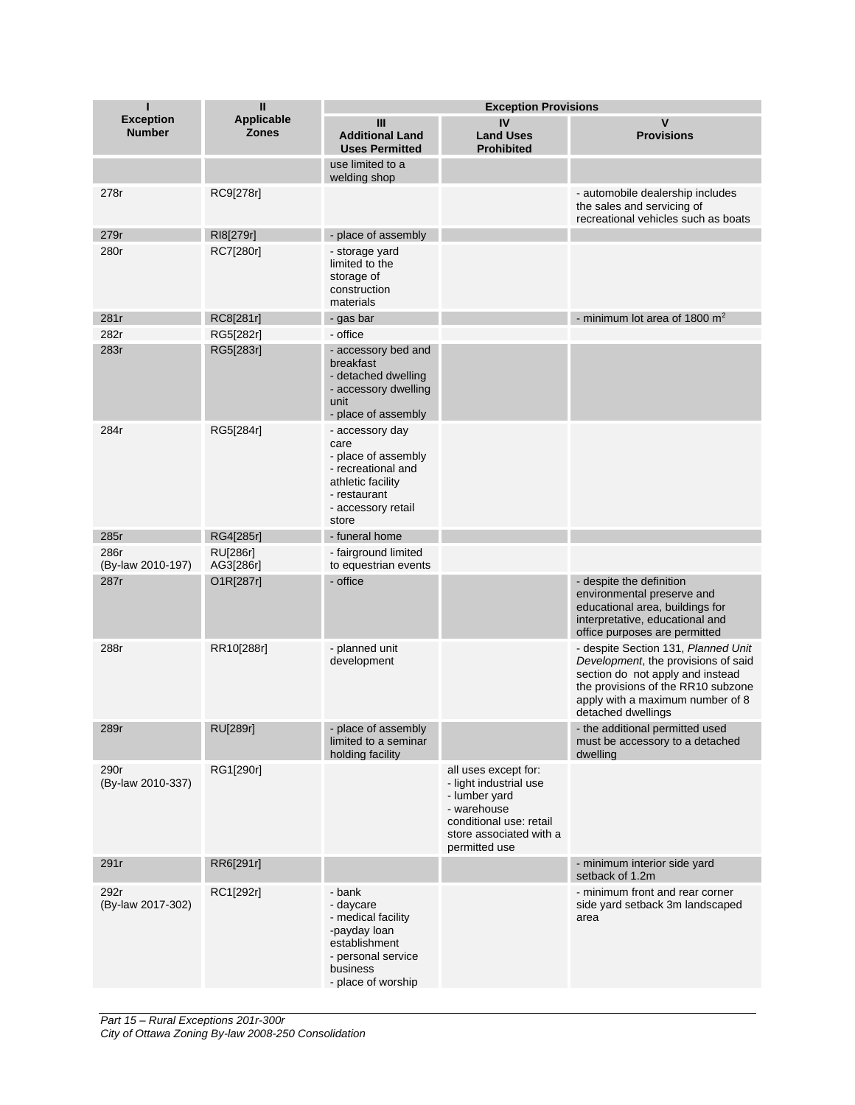| ı                                 | Ш                                 |                                                                                                                                          | <b>Exception Provisions</b>                                                                                                                           |                                                                                                                                                                                                                |
|-----------------------------------|-----------------------------------|------------------------------------------------------------------------------------------------------------------------------------------|-------------------------------------------------------------------------------------------------------------------------------------------------------|----------------------------------------------------------------------------------------------------------------------------------------------------------------------------------------------------------------|
| <b>Exception</b><br><b>Number</b> | <b>Applicable</b><br><b>Zones</b> | Ш<br><b>Additional Land</b><br><b>Uses Permitted</b>                                                                                     | IV<br><b>Land Uses</b><br><b>Prohibited</b>                                                                                                           | v<br><b>Provisions</b>                                                                                                                                                                                         |
|                                   |                                   | use limited to a<br>welding shop                                                                                                         |                                                                                                                                                       |                                                                                                                                                                                                                |
| 278r                              | RC9[278r]                         |                                                                                                                                          |                                                                                                                                                       | - automobile dealership includes<br>the sales and servicing of<br>recreational vehicles such as boats                                                                                                          |
| 279r                              | RI8[279r]                         | - place of assembly                                                                                                                      |                                                                                                                                                       |                                                                                                                                                                                                                |
| 280r                              | RC7[280r]                         | - storage yard<br>limited to the<br>storage of<br>construction<br>materials                                                              |                                                                                                                                                       |                                                                                                                                                                                                                |
| 281r                              | RC8[281r]                         | - gas bar                                                                                                                                |                                                                                                                                                       | - minimum lot area of 1800 $m2$                                                                                                                                                                                |
| 282r                              | RG5[282r]                         | - office                                                                                                                                 |                                                                                                                                                       |                                                                                                                                                                                                                |
| 283r                              | RG5[283r]                         | - accessory bed and<br>breakfast<br>- detached dwelling<br>- accessory dwelling<br>unit<br>- place of assembly                           |                                                                                                                                                       |                                                                                                                                                                                                                |
| 284r                              | RG5[284r]                         | - accessory day<br>care<br>- place of assembly<br>- recreational and<br>athletic facility<br>- restaurant<br>- accessory retail<br>store |                                                                                                                                                       |                                                                                                                                                                                                                |
| 285r                              | RG4[285r]                         | - funeral home                                                                                                                           |                                                                                                                                                       |                                                                                                                                                                                                                |
| 286r<br>(By-law 2010-197)         | <b>RU[286r]</b><br>AG3[286r]      | - fairground limited<br>to equestrian events                                                                                             |                                                                                                                                                       |                                                                                                                                                                                                                |
| 287r                              | O1R[287r]                         | - office                                                                                                                                 |                                                                                                                                                       | - despite the definition<br>environmental preserve and<br>educational area, buildings for<br>interpretative, educational and<br>office purposes are permitted                                                  |
| 288r                              | RR10[288r]                        | - planned unit<br>development                                                                                                            |                                                                                                                                                       | - despite Section 131, Planned Unit<br>Development, the provisions of said<br>section do not apply and instead<br>the provisions of the RR10 subzone<br>apply with a maximum number of 8<br>detached dwellings |
| 289r                              | <b>RU[289r]</b>                   | - place of assembly<br>limited to a seminar<br>holding facility                                                                          |                                                                                                                                                       | - the additional permitted used<br>must be accessory to a detached<br>dwelling                                                                                                                                 |
| 290r<br>(By-law 2010-337)         | RG1[290r]                         |                                                                                                                                          | all uses except for:<br>- light industrial use<br>- lumber yard<br>- warehouse<br>conditional use: retail<br>store associated with a<br>permitted use |                                                                                                                                                                                                                |
| 291r                              | RR6[291r]                         |                                                                                                                                          |                                                                                                                                                       | - minimum interior side yard<br>setback of 1.2m                                                                                                                                                                |
| 292r<br>(By-law 2017-302)         | RC1[292r]                         | - bank<br>- daycare<br>- medical facility<br>-payday loan<br>establishment<br>- personal service<br>business<br>- place of worship       |                                                                                                                                                       | - minimum front and rear corner<br>side yard setback 3m landscaped<br>area                                                                                                                                     |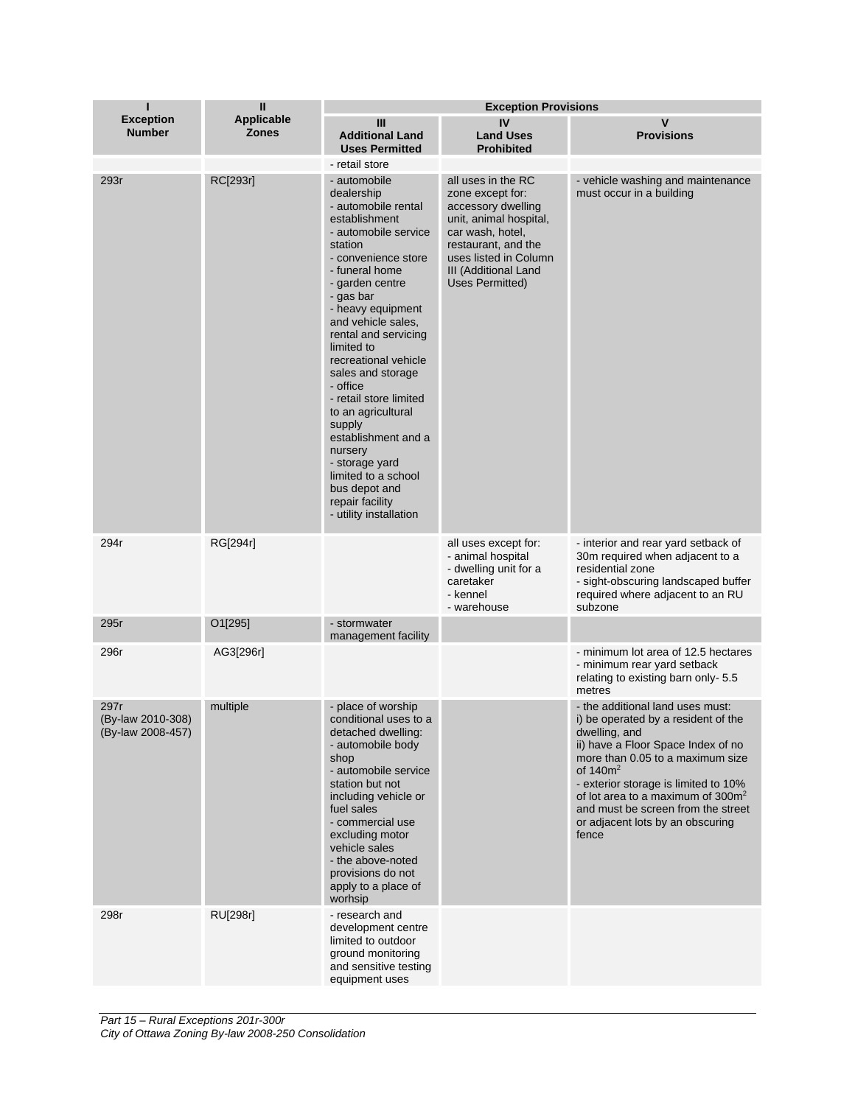| ı                                              | $\mathbf{I}$                      | <b>Exception Provisions</b>                                                                                                                                                                                                                                                                                                                                                                                                                                                                                                                   |                                                                                                                                                                                                       |                                                                                                                                                                                                                                                                                                                                                               |  |
|------------------------------------------------|-----------------------------------|-----------------------------------------------------------------------------------------------------------------------------------------------------------------------------------------------------------------------------------------------------------------------------------------------------------------------------------------------------------------------------------------------------------------------------------------------------------------------------------------------------------------------------------------------|-------------------------------------------------------------------------------------------------------------------------------------------------------------------------------------------------------|---------------------------------------------------------------------------------------------------------------------------------------------------------------------------------------------------------------------------------------------------------------------------------------------------------------------------------------------------------------|--|
| <b>Exception</b><br><b>Number</b>              | <b>Applicable</b><br><b>Zones</b> | Ш<br><b>Additional Land</b><br><b>Uses Permitted</b>                                                                                                                                                                                                                                                                                                                                                                                                                                                                                          | IV<br><b>Land Uses</b><br><b>Prohibited</b>                                                                                                                                                           | $\mathsf{v}$<br><b>Provisions</b>                                                                                                                                                                                                                                                                                                                             |  |
| 293r                                           | RC[293r]                          | - retail store<br>- automobile<br>dealership<br>- automobile rental<br>establishment<br>- automobile service<br>station<br>- convenience store<br>- funeral home<br>- garden centre<br>- gas bar<br>- heavy equipment<br>and vehicle sales,<br>rental and servicing<br>limited to<br>recreational vehicle<br>sales and storage<br>- office<br>- retail store limited<br>to an agricultural<br>supply<br>establishment and a<br>nursery<br>- storage yard<br>limited to a school<br>bus depot and<br>repair facility<br>- utility installation | all uses in the RC<br>zone except for:<br>accessory dwelling<br>unit, animal hospital,<br>car wash, hotel,<br>restaurant, and the<br>uses listed in Column<br>III (Additional Land<br>Uses Permitted) | - vehicle washing and maintenance<br>must occur in a building                                                                                                                                                                                                                                                                                                 |  |
| 294r                                           | RG[294r]                          |                                                                                                                                                                                                                                                                                                                                                                                                                                                                                                                                               | all uses except for:<br>- animal hospital<br>- dwelling unit for a<br>caretaker<br>- kennel<br>- warehouse                                                                                            | - interior and rear yard setback of<br>30m required when adjacent to a<br>residential zone<br>- sight-obscuring landscaped buffer<br>required where adjacent to an RU<br>subzone                                                                                                                                                                              |  |
| 295r                                           | O1[295]                           | - stormwater<br>management facility                                                                                                                                                                                                                                                                                                                                                                                                                                                                                                           |                                                                                                                                                                                                       |                                                                                                                                                                                                                                                                                                                                                               |  |
| 296r                                           | AG3[296r]                         |                                                                                                                                                                                                                                                                                                                                                                                                                                                                                                                                               |                                                                                                                                                                                                       | - minimum lot area of 12.5 hectares<br>- minimum rear yard setback<br>relating to existing barn only-5.5<br>metres                                                                                                                                                                                                                                            |  |
| 297r<br>(By-law 2010-308)<br>(By-law 2008-457) | multiple                          | - place of worship<br>conditional uses to a<br>detached dwelling:<br>- automobile body<br>shop<br>- automobile service<br>station but not<br>including vehicle or<br>fuel sales<br>- commercial use<br>excluding motor<br>vehicle sales<br>- the above-noted<br>provisions do not<br>apply to a place of<br>worhsip                                                                                                                                                                                                                           |                                                                                                                                                                                                       | - the additional land uses must:<br>i) be operated by a resident of the<br>dwelling, and<br>ii) have a Floor Space Index of no<br>more than 0.05 to a maximum size<br>of $140m^2$<br>- exterior storage is limited to 10%<br>of lot area to a maximum of 300m <sup>2</sup><br>and must be screen from the street<br>or adjacent lots by an obscuring<br>fence |  |
| 298r                                           | RU[298r]                          | - research and<br>development centre<br>limited to outdoor<br>ground monitoring<br>and sensitive testing<br>equipment uses                                                                                                                                                                                                                                                                                                                                                                                                                    |                                                                                                                                                                                                       |                                                                                                                                                                                                                                                                                                                                                               |  |